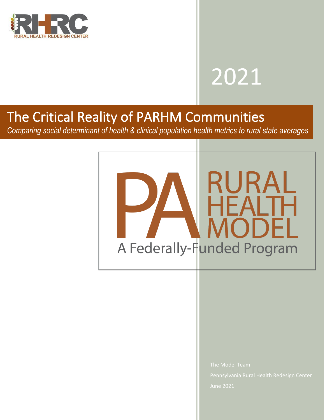

# 2021

# The Critical Reality of PARHM Communities

*Comparing social determinant of health & clinical population health metrics to rural state averages*



June 2021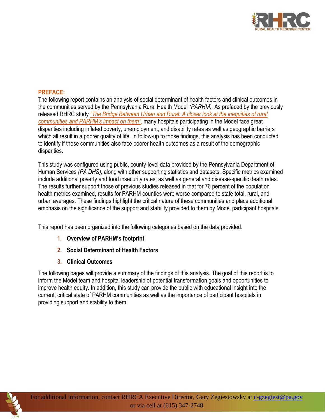

# **PREFACE:**

The following report contains an analysis of social determinant of health factors and clinical outcomes in the communities served by the Pennsylvania Rural Health Model *(PARHM).* As prefaced by the previously released RHRC study *"The Bridge Between Urban and [Rural: A closer look at the inequities of rural](https://123rjwenterprisescom.sharepoint.com/sites/123RJWEnterprisesLLC/doh/Shared%20Documents/RHRCA/Current%20Projects/The%20Bridge%20Between%20Urban%20&%20Rural_Case%20for%20PARHM_REDACTED.pdf)  [communities and PARHM's impact on them"](https://123rjwenterprisescom.sharepoint.com/sites/123RJWEnterprisesLLC/doh/Shared%20Documents/RHRCA/Current%20Projects/The%20Bridge%20Between%20Urban%20&%20Rural_Case%20for%20PARHM_REDACTED.pdf)*, many hospitals participating in the Model face great disparities including inflated poverty, unemployment, and disability rates as well as geographic barriers which all result in a poorer quality of life. In follow-up to those findings, this analysis has been conducted to identify if these communities also face poorer health outcomes as a result of the demographic disparities.

This study was configured using public, county-level data provided by the Pennsylvania Department of Human Services *(PA DHS),* along with other supporting statistics and datasets. Specific metrics examined include additional poverty and food insecurity rates, as well as general and disease-specific death rates. The results further support those of previous studies released in that for 76 percent of the population health metrics examined, results for PARHM counties were worse compared to state total, rural, and urban averages. These findings highlight the critical nature of these communities and place additional emphasis on the significance of the support and stability provided to them by Model participant hospitals.

This report has been organized into the following categories based on the data provided.

- **1. Overview of PARHM's footprint**
- **2. Social Determinant of Health Factors**
- **3. Clinical Outcomes**

The following pages will provide a summary of the findings of this analysis. The goal of this report is to inform the Model team and hospital leadership of potential transformation goals and opportunities to improve health equity. In addition, this study can provide the public with educational insight into the current, critical state of PARHM communities as well as the importance of participant hospitals in providing support and stability to them.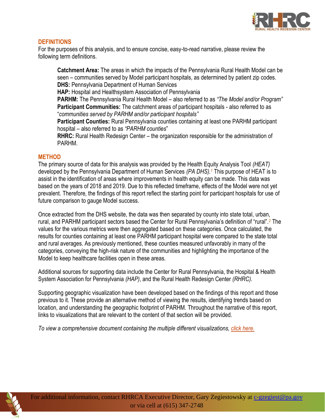

# **DEFINITIONS**

For the purposes of this analysis, and to ensure concise, easy-to-read narrative, please review the following term definitions.

**Catchment Area:** The areas in which the impacts of the Pennsylvania Rural Health Model can be seen – communities served by Model participant hospitals, as determined by patient zip codes. **DHS:** Pennsylvania Department of Human Services

**HAP:** Hospital and Healthsystem Association of Pennsylvania

**PARHM:** The Pennsylvania Rural Health Model – also referred to as *"The Model and/or Program"* **Participant Communities:** The catchment areas of participant hospitals - also referred to as "*communities served by PARHM and/or participant hospitals"*

**Participant Counties:** Rural Pennsylvania counties containing at least one PARHM participant hospital – also referred to as *"PARHM counties*"

**RHRC:** Rural Health Redesign Center – the organization responsible for the administration of PARHM.

## **METHOD**

The primary source of data for this analysis was provided by the Health Equity Analysis Tool *(HEAT)* developed by the Pennsylvania Department of Human Services *(PA DHS).<sup>1</sup>* This purpose of HEAT is to assist in the identification of areas where improvements in health equity can be made. This data was based on the years of 2018 and 2019. Due to this reflected timeframe, effects of the Model were not yet prevalent. Therefore, the findings of this report reflect the starting point for participant hospitals for use of future comparison to gauge Model success.

Once extracted from the DHS website, the data was then separated by county into state total, urban, rural, and PARHM participant sectors based the Center for Rural Pennsylvania's definition of "rural".<sup>2</sup> The values for the various metrics were then aggregated based on these categories. Once calculated, the results for counties containing at least one PARHM participant hospital were compared to the state total and rural averages. As previously mentioned, these counties measured unfavorably in many of the categories, conveying the high-risk nature of the communities and highlighting the importance of the Model to keep healthcare facilities open in these areas.

Additional sources for supporting data include the Center for Rural Pennsylvania, the Hospital & Health System Association for Pennsylvania *(HAP)*, and the Rural Health Redesign Center *(RHRC)*.

Supporting geographic visualization have been developed based on the findings of this report and those previous to it. These provide an alternative method of viewing the results, identifying trends based on location, and understanding the geographic footprint of PARHM. Throughout the narrative of this report, links to visualizations that are relevant to the content of that section will be provided.

*To view a comprehensive document containing the multiple different visualizations, [click here.](https://123rjwenterprisescom.sharepoint.com/sites/123RJWEnterprisesLLC/doh/Shared%20Documents/RHRCA/Current%20Projects/Understanding%20PARHM%20geographies_comprehensive%20list%20of%20PARHM%20maps.pdf)*

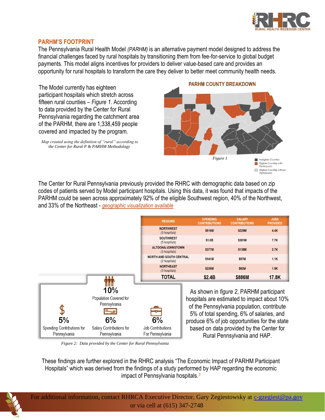

## **PARHM'S FOOTPRINT**

The Pennsylvania Rural Health Model *(PARHM)* is an alternative payment model designed to address the financial challenges faced by rural hospitals by transitioning them from fee-for-service to global budget payments. This model aligns incentives for providers to deliver value-based care and provides an opportunity for rural hospitals to transform the care they deliver to better meet community health needs.

The Model currently has eighteen participant hospitals which stretch across fifteen rural counties – *Figure 1*. According to data provided by the Center for Rural Pennsylvania regarding the catchment area of the PARHM, there are 1,338,459 people covered and impacted by the program.

*Map created using the definition of "rural" according to the Center for Rural P & PARHM Methodology*

#### **PARHM COUNTY BREAKDOWN**



Eligible Counties without Participants

The Center for Rural Pennsylvania previously provided the RHRC with demographic data based on zip codes of patients served by Model participant hospitals. Using this data, it was found that impacts of the PARHM could be seen across approximately 92% of the eligible Southwest region, 40% of the Northwest, and 33% of the Northeast - *[geographic visualization available](https://123rjwenterprisescom.sharepoint.com/sites/123RJWEnterprisesLLC/doh/Shared%20Documents/RHRCA/Current%20Projects/Population%20Impact%20Map_Description.pdf)*



*Figure 2: Data provided by the Center for Rural Pennsylvania*

These findings are further explored in the RHRC analysis "The Economic Impact of PARHM Participant Hospitals" which was derived from the findings of a study performed by HAP regarding the economic impact of Pennsylvania hospitals.<sup>3</sup>

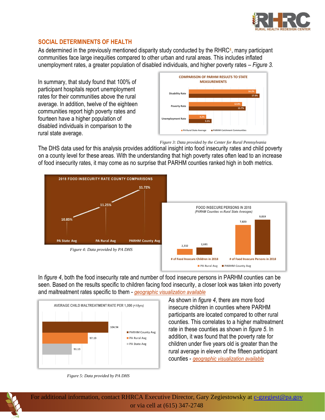

# **SOCIAL DETERMINENTS OF HEALTH**

As determined in the previously mentioned disparity study conducted by the RHRC<sup>4</sup>, many participant communities face large inequities compared to other urban and rural areas. This includes inflated unemployment rates, a greater population of disabled individuals, and higher poverty rates – *Figure 3.*

In summary, that study found that 100% of participant hospitals report unemployment rates for their communities above the rural average. In addition, twelve of the eighteen communities report high poverty rates and fourteen have a higher population of disabled individuals in comparison to the rural state average.



*Figure 3: Data provided by the Center for Rural Pennsylvania*

The DHS data used for this analysis provides additional insight into food insecurity rates and child poverty on a county level for these areas. With the understanding that high poverty rates often lead to an increase of food insecurity rates, it may come as no surprise that PARHM counties ranked high in both metrics.



In *figure 4*, both the food insecurity rate and number of food insecure persons in PARHM counties can be seen. Based on the results specific to children facing food insecurity, a closer look was taken into poverty and maltreatment rates specific to them - *[geographic visualization available](https://123rjwenterprisescom.sharepoint.com/sites/123RJWEnterprisesLLC/doh/Shared%20Documents/RHRCA/Current%20Projects/Poverty_Food%20Insecurity%20Map_Description.pdf)*



*Figure 5: Data provided by PA DHS*

As shown in *figure 4*, there are more food insecure children in counties where PARHM participants are located compared to other rural counties. This correlates to a higher maltreatment rate in these counties as shown in *figure 5*. In addition, it was found that the poverty rate for children under five years old is greater than the rural average in eleven of the fifteen participant counties - *[geographic visualization available](https://123rjwenterprisescom.sharepoint.com/sites/123RJWEnterprisesLLC/doh/Shared%20Documents/RHRCA/Current%20Projects/Child%20Poverty_Maltreatment%20Map_Description.pdf)*



For additional information, contact RHRCA Executive Director, Gary Zegiestowsky at [c-gzegiest@pa.gov](mailto:c-gzegiest@pa.gov) or via cell at (615) 347-2748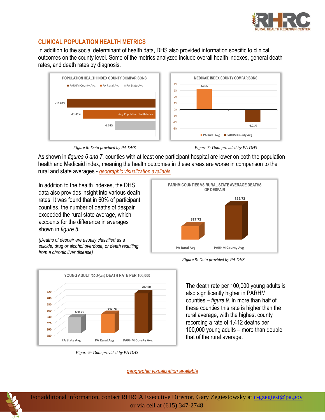

# **CLINICAL POPULATION HEALTH METRICS**

In addition to the social determinant of health data, DHS also provided information specific to clinical outcomes on the county level. Some of the metrics analyzed include overall health indexes, general death rates, and death rates by diagnosis.





As shown in *figures 6 and 7*, counties with at least one participant hospital are lower on both the population health and Medicaid index, meaning the health outcomes in these areas are worse in comparison to the rural and state averages - *[geographic visualization available](https://123rjwenterprisescom.sharepoint.com/sites/123RJWEnterprisesLLC/doh/Shared%20Documents/RHRCA/Current%20Projects/Dual%20Index%20Map_Description.pdf)*

In addition to the health indexes, the DHS data also provides insight into various death rates. It was found that in 60% of participant counties, the number of deaths of despair exceeded the rural state average, which accounts for the difference in averages shown in *figure 8*.

*(Deaths of despair are usually classified as a suicide, drug or alcohol overdose, or death resulting from a chronic liver disease)* 



*Figure 9: Data provided by PA DHS*

PARHM COUNTIES VS RURAL STATE AVERAGE DEATHS OF DESPAIR 329.72 317.72 PA Rural Avg **PARHM County Avg** 

*Figure 8: Data provided by PA DHS*

The death rate per 100,000 young adults is also significantly higher in PARHM counties – *figure 9*. In more than half of these counties this rate is higher than the rural average, with the highest county recording a rate of 1,412 deaths per 100,000 young adults – more than double that of the rural average.



For additional information, contact RHRCA Executive Director, Gary Zegiestowsky at [c-gzegiest@pa.gov](mailto:c-gzegiest@pa.gov) or via cell at (615) 347-2748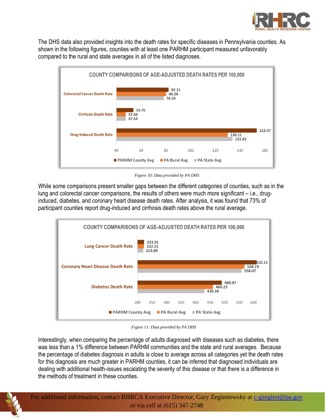

The DHS data also provided insights into the death rates for specific diseases in Pennsylvania counties. As shown in the following figures, counties with at least one PARHM participant measured unfavorably compared to the rural and state averages in all of the listed diagnoses.



*Figure 10: Data provided by PA DHS*

While some comparisons present smaller gaps between the different categories of counties, such as in the lung and colorectal cancer comparisons, the results of others were much more significant – i.e., druginduced, diabetes, and coronary heart disease death rates. After analysis, it was found that 73% of participant counties report drug-induced and cirrhosis death rates above the rural average.



*Figure 11: Data provided by PA DHS*

Interestingly, when comparing the percentage of adults diagnosed with diseases such as diabetes, there was less than a 1% difference between PARHM communities and the state and rural averages. Because the percentage of diabetes diagnosis in adults is close to average across all categories yet the death rates for this diagnosis are much greater in PARHM counties, it can be inferred that diagnosed individuals are dealing with additional health-issues escalating the severity of this disease or that there is a difference in the methods of treatment in these counties.

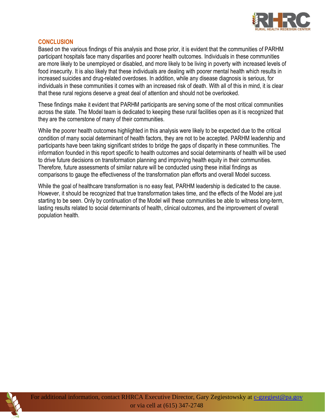

# **CONCLUSION**

Based on the various findings of this analysis and those prior, it is evident that the communities of PARHM participant hospitals face many disparities and poorer health outcomes. Individuals in these communities are more likely to be unemployed or disabled, and more likely to be living in poverty with increased levels of food insecurity. It is also likely that these individuals are dealing with poorer mental health which results in increased suicides and drug-related overdoses. In addition, while any disease diagnosis is serious, for individuals in these communities it comes with an increased risk of death. With all of this in mind, it is clear that these rural regions deserve a great deal of attention and should not be overlooked.

These findings make it evident that PARHM participants are serving some of the most critical communities across the state. The Model team is dedicated to keeping these rural facilities open as it is recognized that they are the cornerstone of many of their communities.

While the poorer health outcomes highlighted in this analysis were likely to be expected due to the critical condition of many social determinant of health factors, they are not to be accepted. PARHM leadership and participants have been taking significant strides to bridge the gaps of disparity in these communities. The information founded in this report specific to health outcomes and social determinants of health will be used to drive future decisions on transformation planning and improving health equity in their communities. Therefore, future assessments of similar nature will be conducted using these initial findings as comparisons to gauge the effectiveness of the transformation plan efforts and overall Model success.

While the goal of healthcare transformation is no easy feat, PARHM leadership is dedicated to the cause. However, it should be recognized that true transformation takes time, and the effects of the Model are just starting to be seen. Only by continuation of the Model will these communities be able to witness long-term, lasting results related to social determinants of health, clinical outcomes, and the improvement of overall population health.